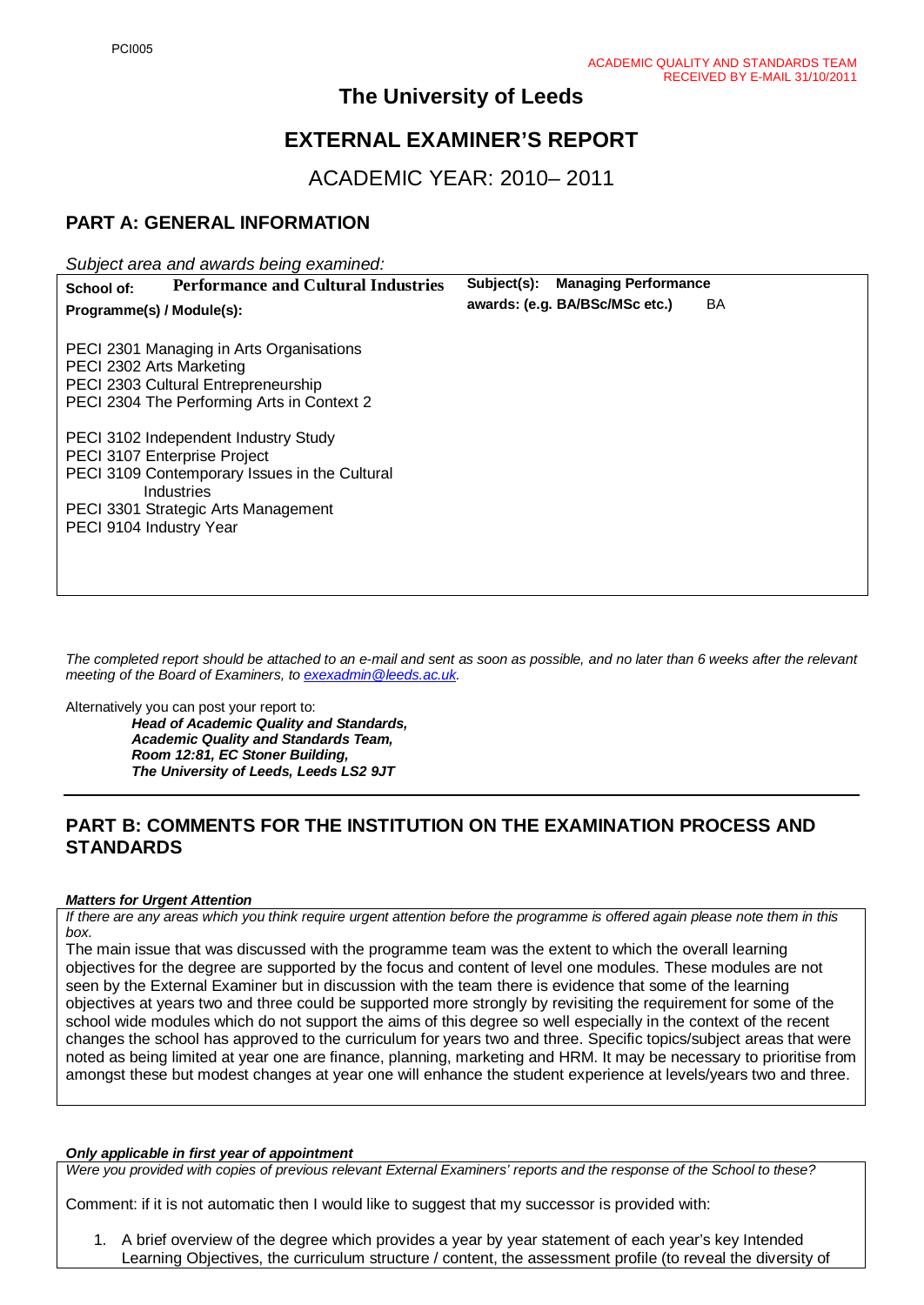# **The University of Leeds**

# **EXTERNAL EXAMINER'S REPORT**

ACADEMIC YEAR: 2010– 2011

## **PART A: GENERAL INFORMATION**

*Subject area and awards being examined:*

| <b>Performance and Cultural Industries</b><br>School of:                                                                                                                                              | Subject(s): Managing Performance            |
|-------------------------------------------------------------------------------------------------------------------------------------------------------------------------------------------------------|---------------------------------------------|
| Programme(s) / Module(s):                                                                                                                                                                             | awards: (e.g. BA/BSc/MSc etc.)<br><b>BA</b> |
| PECI 2301 Managing in Arts Organisations<br>PECI 2302 Arts Marketing<br>PECI 2303 Cultural Entrepreneurship<br>PECI 2304 The Performing Arts in Context 2                                             |                                             |
| PECI 3102 Independent Industry Study<br>PECI 3107 Enterprise Project<br>PECI 3109 Contemporary Issues in the Cultural<br>Industries<br>PECI 3301 Strategic Arts Management<br>PECI 9104 Industry Year |                                             |

*The completed report should be attached to an e-mail and sent as soon as possible, and no later than 6 weeks after the relevant meeting of the Board of Examiners, to [exexadmin@leeds.ac.uk.](mailto:exexadmin@leeds.ac.uk)* 

Alternatively you can post your report to:

*Head of Academic Quality and Standards, Academic Quality and Standards Team, Room 12:81, EC Stoner Building, The University of Leeds, Leeds LS2 9JT*

## **PART B: COMMENTS FOR THE INSTITUTION ON THE EXAMINATION PROCESS AND STANDARDS**

#### *Matters for Urgent Attention*

*If there are any areas which you think require urgent attention before the programme is offered again please note them in this box.*

The main issue that was discussed with the programme team was the extent to which the overall learning objectives for the degree are supported by the focus and content of level one modules. These modules are not seen by the External Examiner but in discussion with the team there is evidence that some of the learning objectives at years two and three could be supported more strongly by revisiting the requirement for some of the school wide modules which do not support the aims of this degree so well especially in the context of the recent changes the school has approved to the curriculum for years two and three. Specific topics/subject areas that were noted as being limited at year one are finance, planning, marketing and HRM. It may be necessary to prioritise from amongst these but modest changes at year one will enhance the student experience at levels/years two and three.

#### *Only applicable in first year of appointment*

*Were you provided with copies of previous relevant External Examiners' reports and the response of the School to these?* 

Comment: if it is not automatic then I would like to suggest that my successor is provided with:

1. A brief overview of the degree which provides a year by year statement of each year's key Intended Learning Objectives, the curriculum structure / content, the assessment profile (to reveal the diversity of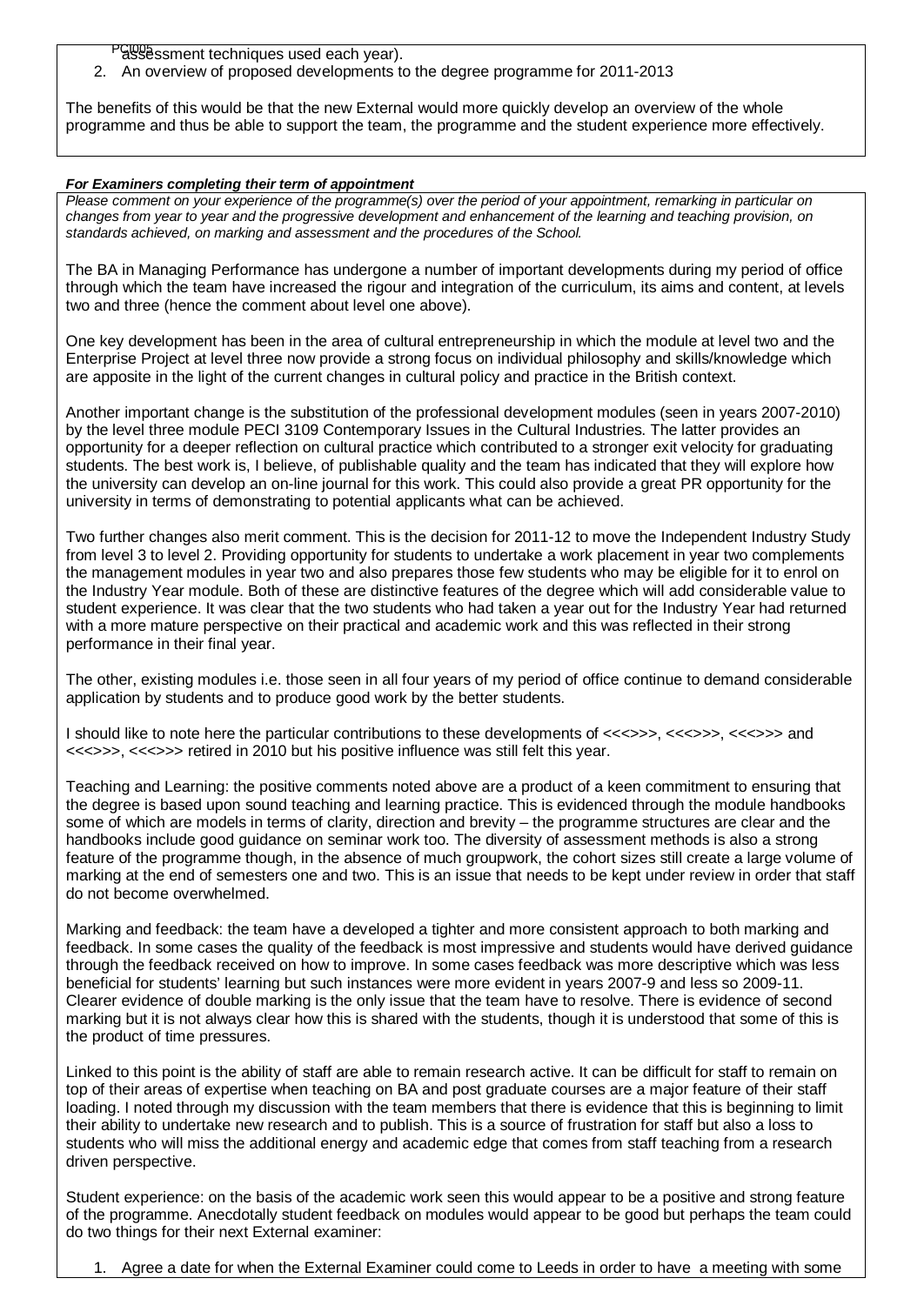PGI005 ssment techniques used each year).

2. An overview of proposed developments to the degree programme for 2011-2013

The benefits of this would be that the new External would more quickly develop an overview of the whole programme and thus be able to support the team, the programme and the student experience more effectively.

#### *For Examiners completing their term of appointment*

*Please comment on your experience of the programme(s) over the period of your appointment, remarking in particular on changes from year to year and the progressive development and enhancement of the learning and teaching provision, on standards achieved, on marking and assessment and the procedures of the School.* 

The BA in Managing Performance has undergone a number of important developments during my period of office through which the team have increased the rigour and integration of the curriculum, its aims and content, at levels two and three (hence the comment about level one above).

One key development has been in the area of cultural entrepreneurship in which the module at level two and the Enterprise Project at level three now provide a strong focus on individual philosophy and skills/knowledge which are apposite in the light of the current changes in cultural policy and practice in the British context.

Another important change is the substitution of the professional development modules (seen in years 2007-2010) by the level three module PECI 3109 Contemporary Issues in the Cultural Industries. The latter provides an opportunity for a deeper reflection on cultural practice which contributed to a stronger exit velocity for graduating students. The best work is, I believe, of publishable quality and the team has indicated that they will explore how the university can develop an on-line journal for this work. This could also provide a great PR opportunity for the university in terms of demonstrating to potential applicants what can be achieved.

Two further changes also merit comment. This is the decision for 2011-12 to move the Independent Industry Study from level 3 to level 2. Providing opportunity for students to undertake a work placement in year two complements the management modules in year two and also prepares those few students who may be eligible for it to enrol on the Industry Year module. Both of these are distinctive features of the degree which will add considerable value to student experience. It was clear that the two students who had taken a year out for the Industry Year had returned with a more mature perspective on their practical and academic work and this was reflected in their strong performance in their final year.

The other, existing modules i.e. those seen in all four years of my period of office continue to demand considerable application by students and to produce good work by the better students.

I should like to note here the particular contributions to these developments of <<<>>>, <<<>>>, <<<>>> and <<<>>>, <<<>>> retired in 2010 but his positive influence was still felt this year.

Teaching and Learning: the positive comments noted above are a product of a keen commitment to ensuring that the degree is based upon sound teaching and learning practice. This is evidenced through the module handbooks some of which are models in terms of clarity, direction and brevity – the programme structures are clear and the handbooks include good guidance on seminar work too. The diversity of assessment methods is also a strong feature of the programme though, in the absence of much groupwork, the cohort sizes still create a large volume of marking at the end of semesters one and two. This is an issue that needs to be kept under review in order that staff do not become overwhelmed.

Marking and feedback: the team have a developed a tighter and more consistent approach to both marking and feedback. In some cases the quality of the feedback is most impressive and students would have derived guidance through the feedback received on how to improve. In some cases feedback was more descriptive which was less beneficial for students' learning but such instances were more evident in years 2007-9 and less so 2009-11. Clearer evidence of double marking is the only issue that the team have to resolve. There is evidence of second marking but it is not always clear how this is shared with the students, though it is understood that some of this is the product of time pressures.

Linked to this point is the ability of staff are able to remain research active. It can be difficult for staff to remain on top of their areas of expertise when teaching on BA and post graduate courses are a major feature of their staff loading. I noted through my discussion with the team members that there is evidence that this is beginning to limit their ability to undertake new research and to publish. This is a source of frustration for staff but also a loss to students who will miss the additional energy and academic edge that comes from staff teaching from a research driven perspective.

Student experience: on the basis of the academic work seen this would appear to be a positive and strong feature of the programme. Anecdotally student feedback on modules would appear to be good but perhaps the team could do two things for their next External examiner:

Agree a date for when the External Examiner could come to Leeds in order to have a meeting with some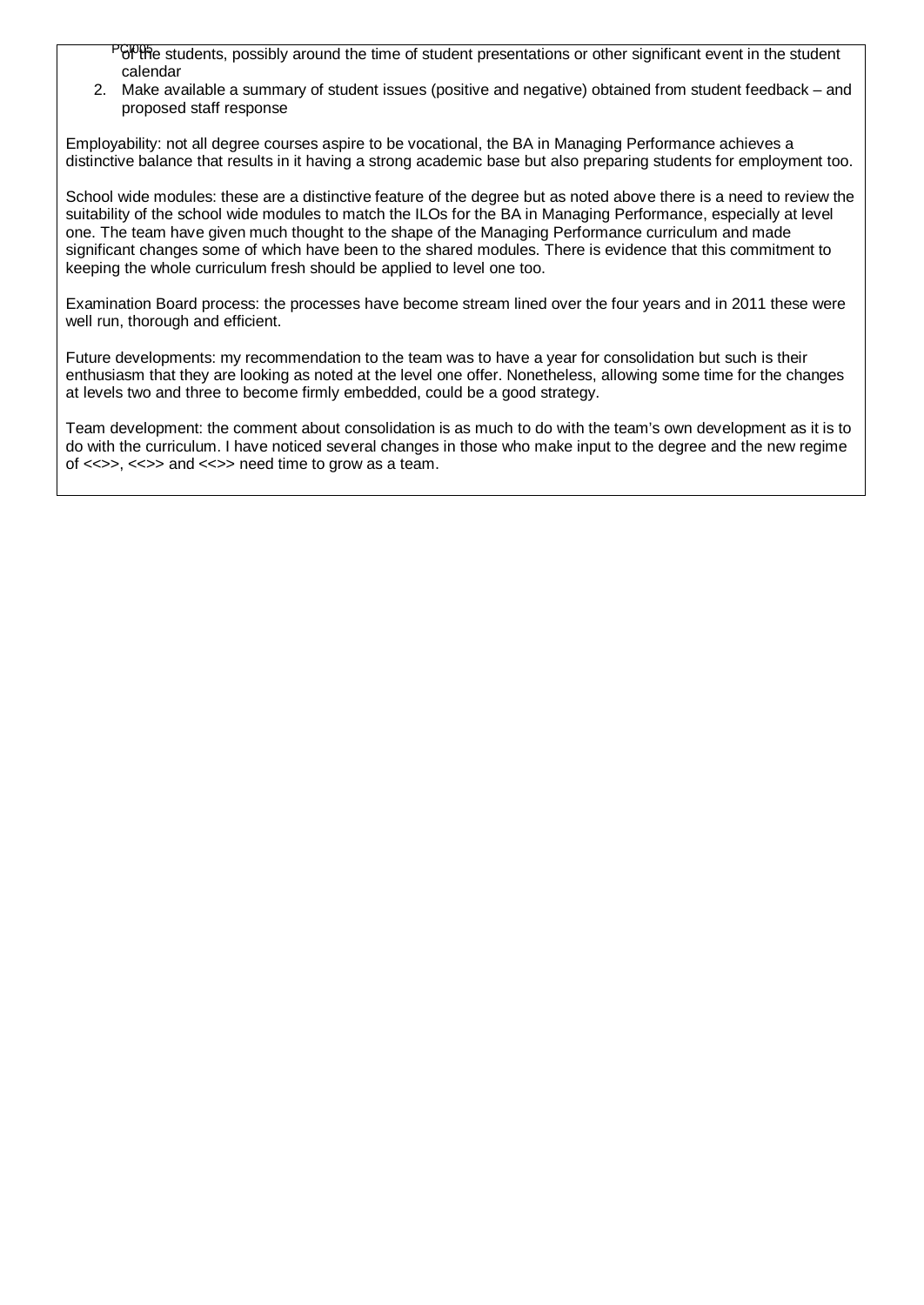PGPPHe students, possibly around the time of student presentations or other significant event in the student calendar

2. Make available a summary of student issues (positive and negative) obtained from student feedback – and proposed staff response

Employability: not all degree courses aspire to be vocational, the BA in Managing Performance achieves a distinctive balance that results in it having a strong academic base but also preparing students for employment too.

School wide modules: these are a distinctive feature of the degree but as noted above there is a need to review the suitability of the school wide modules to match the ILOs for the BA in Managing Performance, especially at level one. The team have given much thought to the shape of the Managing Performance curriculum and made significant changes some of which have been to the shared modules. There is evidence that this commitment to keeping the whole curriculum fresh should be applied to level one too.

Examination Board process: the processes have become stream lined over the four years and in 2011 these were well run, thorough and efficient.

Future developments: my recommendation to the team was to have a year for consolidation but such is their enthusiasm that they are looking as noted at the level one offer. Nonetheless, allowing some time for the changes at levels two and three to become firmly embedded, could be a good strategy.

Team development: the comment about consolidation is as much to do with the team's own development as it is to do with the curriculum. I have noticed several changes in those who make input to the degree and the new regime of <<>>, <<>> and <<>> need time to grow as a team.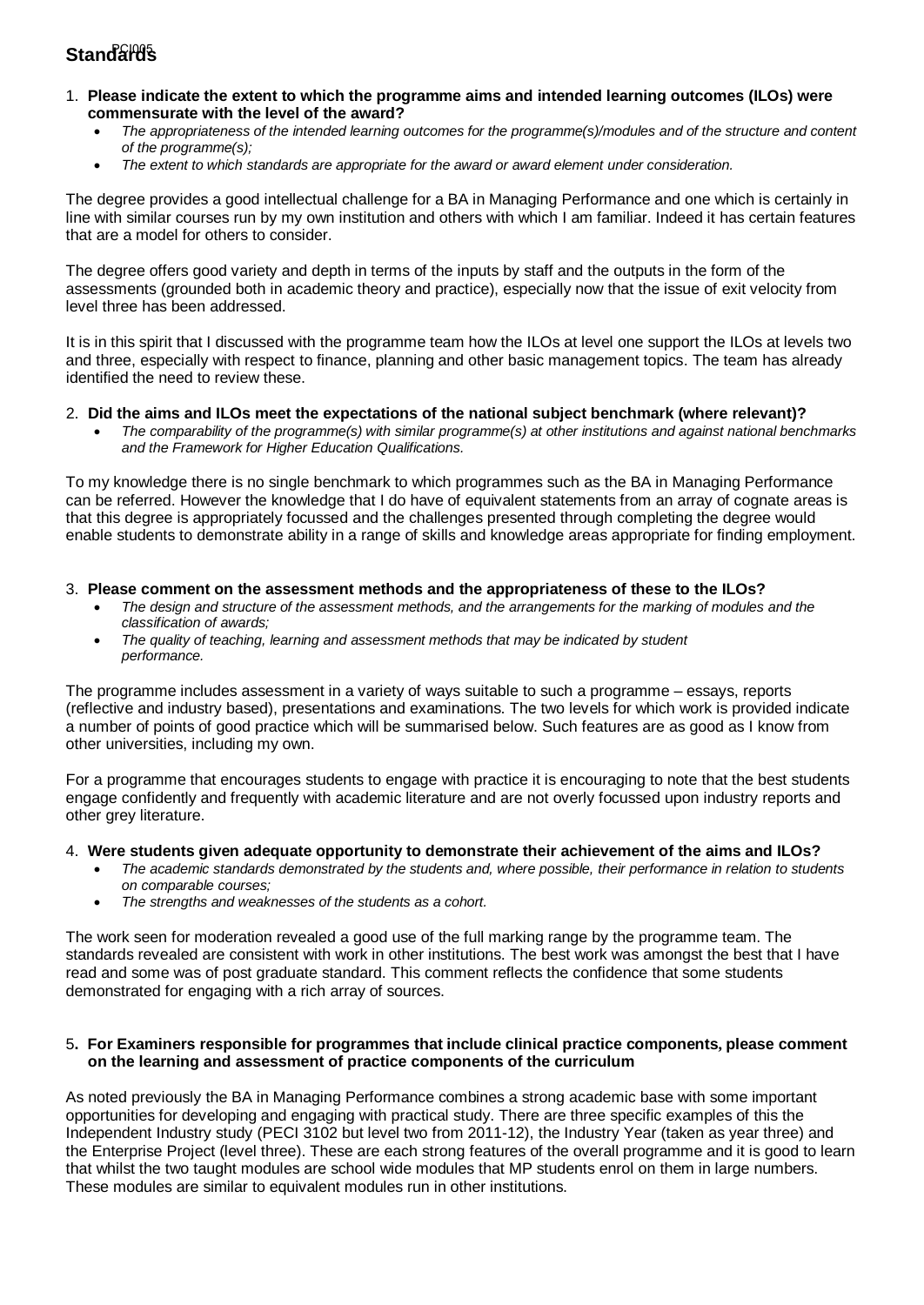# Standar<del>0</del>s

- 1. **Please indicate the extent to which the programme aims and intended learning outcomes (ILOs) were commensurate with the level of the award?**
	- *The appropriateness of the intended learning outcomes for the programme(s)/modules and of the structure and content of the programme(s);*
	- *The extent to which standards are appropriate for the award or award element under consideration.*

The degree provides a good intellectual challenge for a BA in Managing Performance and one which is certainly in line with similar courses run by my own institution and others with which I am familiar. Indeed it has certain features that are a model for others to consider.

The degree offers good variety and depth in terms of the inputs by staff and the outputs in the form of the assessments (grounded both in academic theory and practice), especially now that the issue of exit velocity from level three has been addressed.

It is in this spirit that I discussed with the programme team how the ILOs at level one support the ILOs at levels two and three, especially with respect to finance, planning and other basic management topics. The team has already identified the need to review these.

#### 2. **Did the aims and ILOs meet the expectations of the national subject benchmark (where relevant)?**

• *The comparability of the programme(s) with similar programme(s) at other institutions and against national benchmarks and the Framework for Higher Education Qualifications.*

To my knowledge there is no single benchmark to which programmes such as the BA in Managing Performance can be referred. However the knowledge that I do have of equivalent statements from an array of cognate areas is that this degree is appropriately focussed and the challenges presented through completing the degree would enable students to demonstrate ability in a range of skills and knowledge areas appropriate for finding employment.

#### 3. **Please comment on the assessment methods and the appropriateness of these to the ILOs?**

- *The design and structure of the assessment methods, and the arrangements for the marking of modules and the classification of awards;*
- *The quality of teaching, learning and assessment methods that may be indicated by student performance.*

The programme includes assessment in a variety of ways suitable to such a programme – essays, reports (reflective and industry based), presentations and examinations. The two levels for which work is provided indicate a number of points of good practice which will be summarised below. Such features are as good as I know from other universities, including my own.

For a programme that encourages students to engage with practice it is encouraging to note that the best students engage confidently and frequently with academic literature and are not overly focussed upon industry reports and other grey literature.

#### 4. **Were students given adequate opportunity to demonstrate their achievement of the aims and ILOs?**

- *The academic standards demonstrated by the students and, where possible, their performance in relation to students on comparable courses;*
- *The strengths and weaknesses of the students as a cohort.*

The work seen for moderation revealed a good use of the full marking range by the programme team. The standards revealed are consistent with work in other institutions. The best work was amongst the best that I have read and some was of post graduate standard. This comment reflects the confidence that some students demonstrated for engaging with a rich array of sources.

#### 5**. For Examiners responsible for programmes that include clinical practice components, please comment on the learning and assessment of practice components of the curriculum**

As noted previously the BA in Managing Performance combines a strong academic base with some important opportunities for developing and engaging with practical study. There are three specific examples of this the Independent Industry study (PECI 3102 but level two from 2011-12), the Industry Year (taken as year three) and the Enterprise Project (level three). These are each strong features of the overall programme and it is good to learn that whilst the two taught modules are school wide modules that MP students enrol on them in large numbers. These modules are similar to equivalent modules run in other institutions.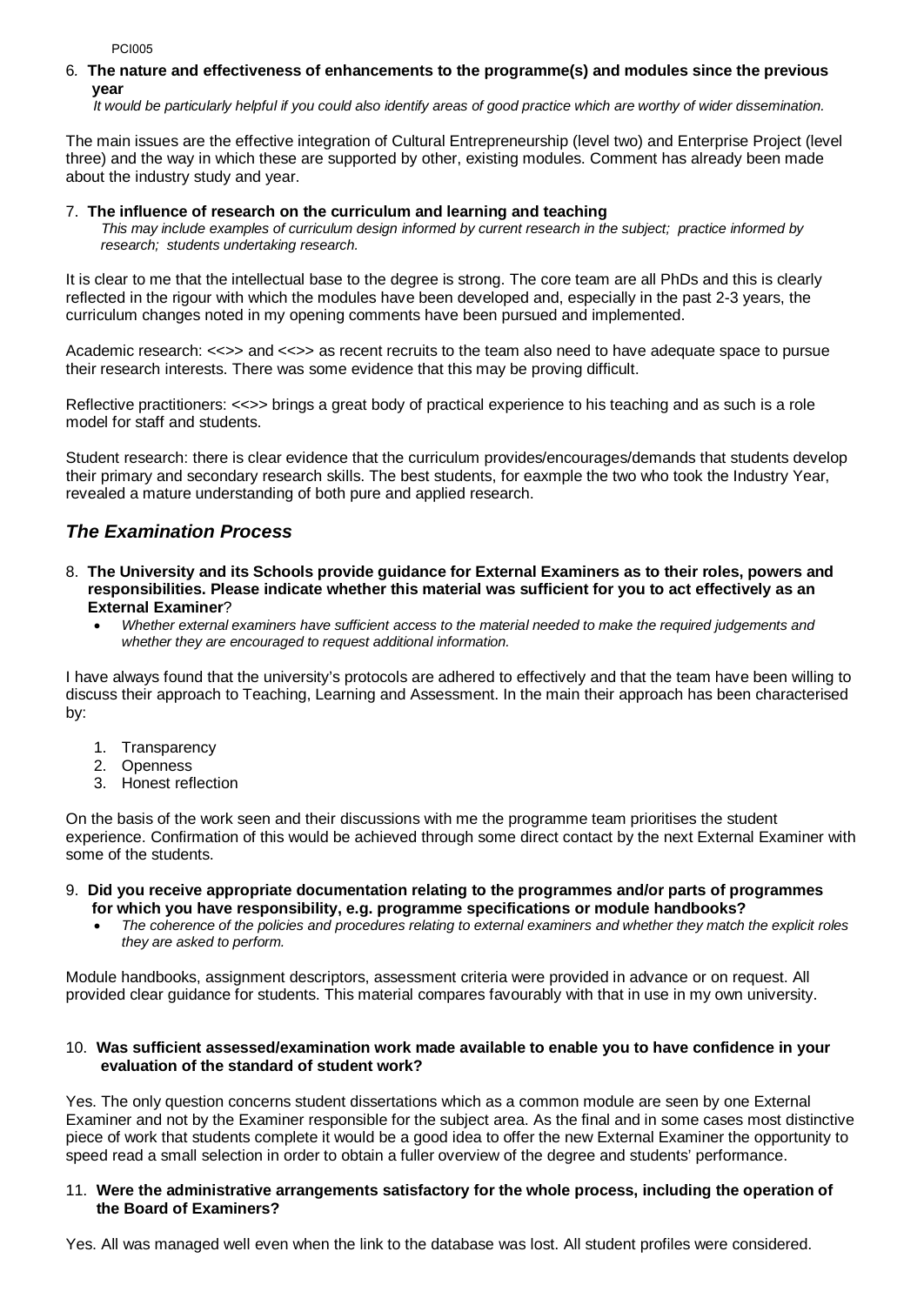PCI005

#### 6*.* **The nature and effectiveness of enhancements to the programme(s) and modules since the previous year**

 *It would be particularly helpful if you could also identify areas of good practice which are worthy of wider dissemination.* 

The main issues are the effective integration of Cultural Entrepreneurship (level two) and Enterprise Project (level three) and the way in which these are supported by other, existing modules. Comment has already been made about the industry study and year.

#### 7.**The influence of research on the curriculum and learning and teaching**

 *This may include examples of curriculum design informed by current research in the subject; practice informed by research; students undertaking research.* 

It is clear to me that the intellectual base to the degree is strong. The core team are all PhDs and this is clearly reflected in the rigour with which the modules have been developed and, especially in the past 2-3 years, the curriculum changes noted in my opening comments have been pursued and implemented.

Academic research: <<>> and <<>> as recent recruits to the team also need to have adequate space to pursue their research interests. There was some evidence that this may be proving difficult.

Reflective practitioners: <<>> brings a great body of practical experience to his teaching and as such is a role model for staff and students.

Student research: there is clear evidence that the curriculum provides/encourages/demands that students develop their primary and secondary research skills. The best students, for eaxmple the two who took the Industry Year, revealed a mature understanding of both pure and applied research.

# *The Examination Process*

- 8. **The University and its Schools provide guidance for External Examiners as to their roles, powers and responsibilities. Please indicate whether this material was sufficient for you to act effectively as an External Examiner**?
	- *Whether external examiners have sufficient access to the material needed to make the required judgements and whether they are encouraged to request additional information.*

I have always found that the university's protocols are adhered to effectively and that the team have been willing to discuss their approach to Teaching, Learning and Assessment. In the main their approach has been characterised by:

- 1. Transparency
- 2. Openness
- 3. Honest reflection

On the basis of the work seen and their discussions with me the programme team prioritises the student experience. Confirmation of this would be achieved through some direct contact by the next External Examiner with some of the students.

#### 9. **Did you receive appropriate documentation relating to the programmes and/or parts of programmes for which you have responsibility, e.g. programme specifications or module handbooks?**

• *The coherence of the policies and procedures relating to external examiners and whether they match the explicit roles they are asked to perform.* 

Module handbooks, assignment descriptors, assessment criteria were provided in advance or on request. All provided clear guidance for students. This material compares favourably with that in use in my own university.

#### 10. **Was sufficient assessed/examination work made available to enable you to have confidence in your evaluation of the standard of student work?**

Yes. The only question concerns student dissertations which as a common module are seen by one External Examiner and not by the Examiner responsible for the subject area. As the final and in some cases most distinctive piece of work that students complete it would be a good idea to offer the new External Examiner the opportunity to speed read a small selection in order to obtain a fuller overview of the degree and students' performance.

#### 11. **Were the administrative arrangements satisfactory for the whole process, including the operation of the Board of Examiners?**

Yes. All was managed well even when the link to the database was lost. All student profiles were considered.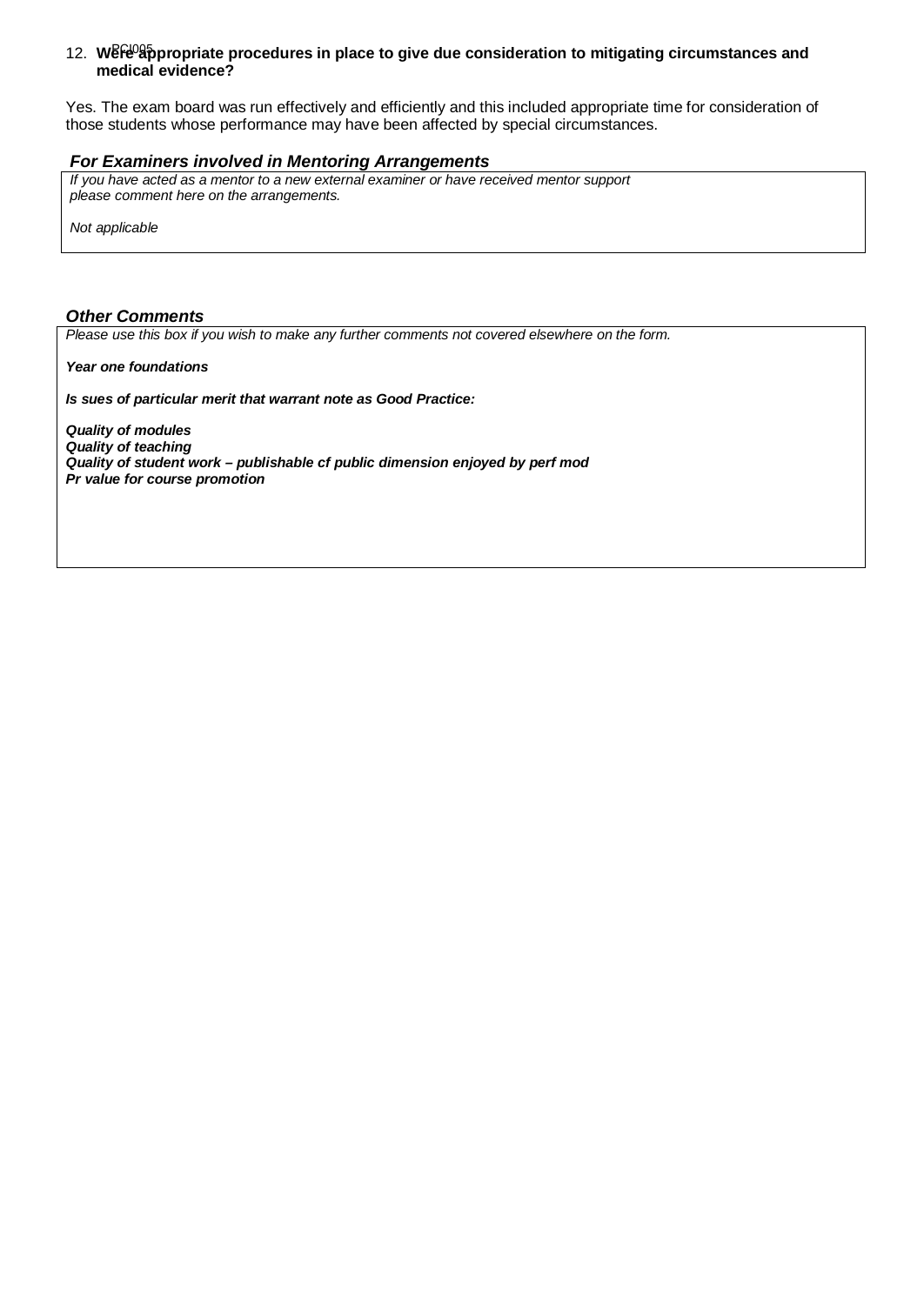#### 12. Were<sup>09</sup>appropriate procedures in place to give due consideration to mitigating circumstances and  **medical evidence?**

Yes. The exam board was run effectively and efficiently and this included appropriate time for consideration of those students whose performance may have been affected by special circumstances.

#### *For Examiners involved in Mentoring Arrangements*

*If you have acted as a mentor to a new external examiner or have received mentor support please comment here on the arrangements.*

*Not applicable*

### *Other Comments*

*Please use this box if you wish to make any further comments not covered elsewhere on the form.*

*Year one foundations*

*Is sues of particular merit that warrant note as Good Practice:*

*Quality of modules Quality of teaching Quality of student work – publishable cf public dimension enjoyed by perf mod Pr value for course promotion*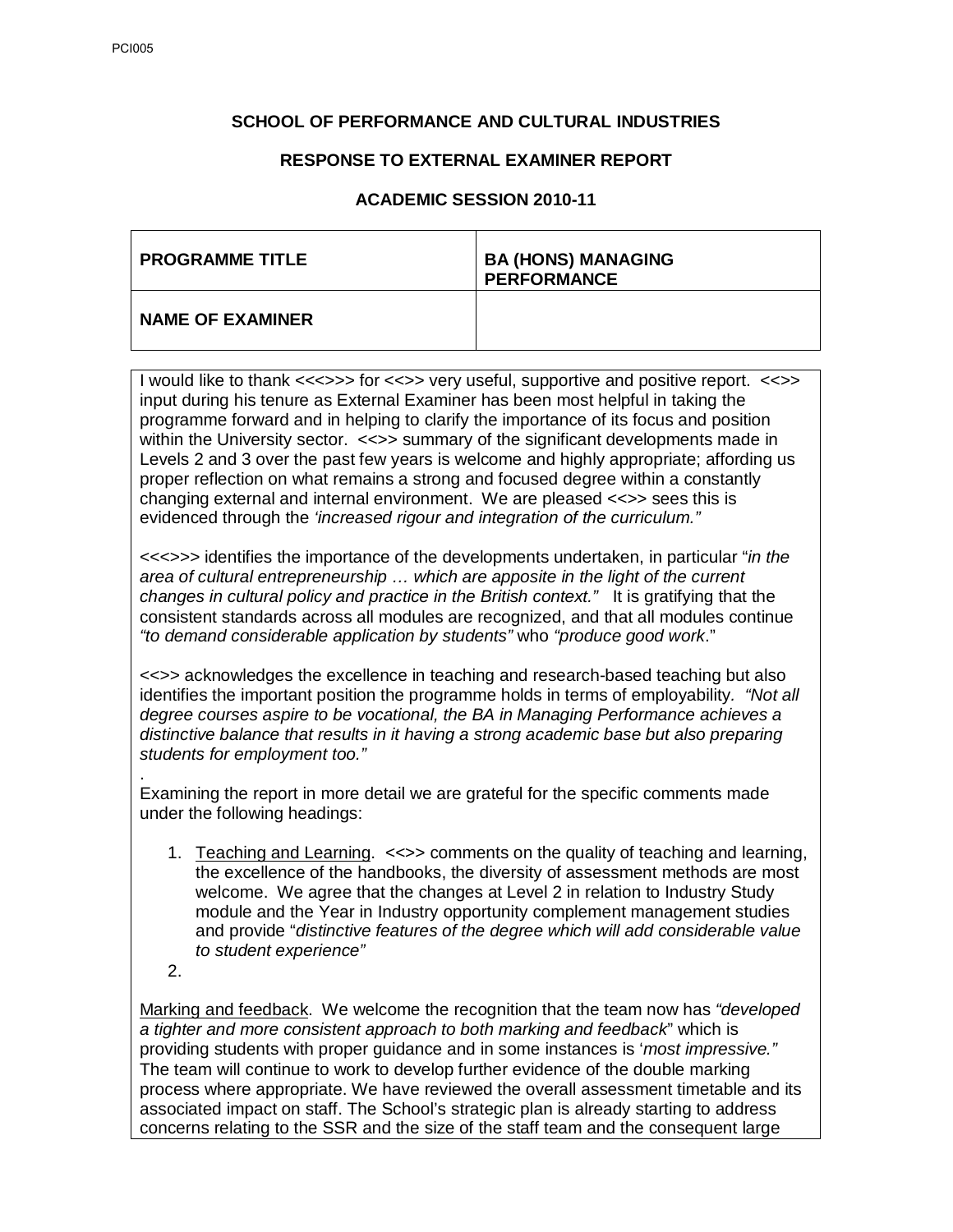## **SCHOOL OF PERFORMANCE AND CULTURAL INDUSTRIES**

## **RESPONSE TO EXTERNAL EXAMINER REPORT**

### **ACADEMIC SESSION 2010-11**

| <b>PROGRAMME TITLE</b>  | <b>BA (HONS) MANAGING</b><br><b>PERFORMANCE</b> |
|-------------------------|-------------------------------------------------|
| <b>NAME OF EXAMINER</b> |                                                 |

I would like to thank <<<>>> for <<<> very useful, supportive and positive report. << > input during his tenure as External Examiner has been most helpful in taking the programme forward and in helping to clarify the importance of its focus and position within the University sector. <<>> summary of the significant developments made in Levels 2 and 3 over the past few years is welcome and highly appropriate; affording us proper reflection on what remains a strong and focused degree within a constantly changing external and internal environment. We are pleased <<>> sees this is evidenced through the *'increased rigour and integration of the curriculum."*

<<<>>> identifies the importance of the developments undertaken, in particular "*in the area of cultural entrepreneurship … which are apposite in the light of the current changes in cultural policy and practice in the British context."* It is gratifying that the consistent standards across all modules are recognized, and that all modules continue *"to demand considerable application by students"* who *"produce good work*."

<<>> acknowledges the excellence in teaching and research-based teaching but also identifies the important position the programme holds in terms of employability*. "Not all degree courses aspire to be vocational, the BA in Managing Performance achieves a distinctive balance that results in it having a strong academic base but also preparing students for employment too."*

. Examining the report in more detail we are grateful for the specific comments made under the following headings:

- 1. Teaching and Learning. <<>> comments on the quality of teaching and learning, the excellence of the handbooks, the diversity of assessment methods are most welcome. We agree that the changes at Level 2 in relation to Industry Study module and the Year in Industry opportunity complement management studies and provide "*distinctive features of the degree which will add considerable value to student experience"*
- 2.

Marking and feedback. We welcome the recognition that the team now has *"developed a tighter and more consistent approach to both marking and feedback*" which is providing students with proper guidance and in some instances is '*most impressive."*  The team will continue to work to develop further evidence of the double marking process where appropriate. We have reviewed the overall assessment timetable and its associated impact on staff. The School's strategic plan is already starting to address concerns relating to the SSR and the size of the staff team and the consequent large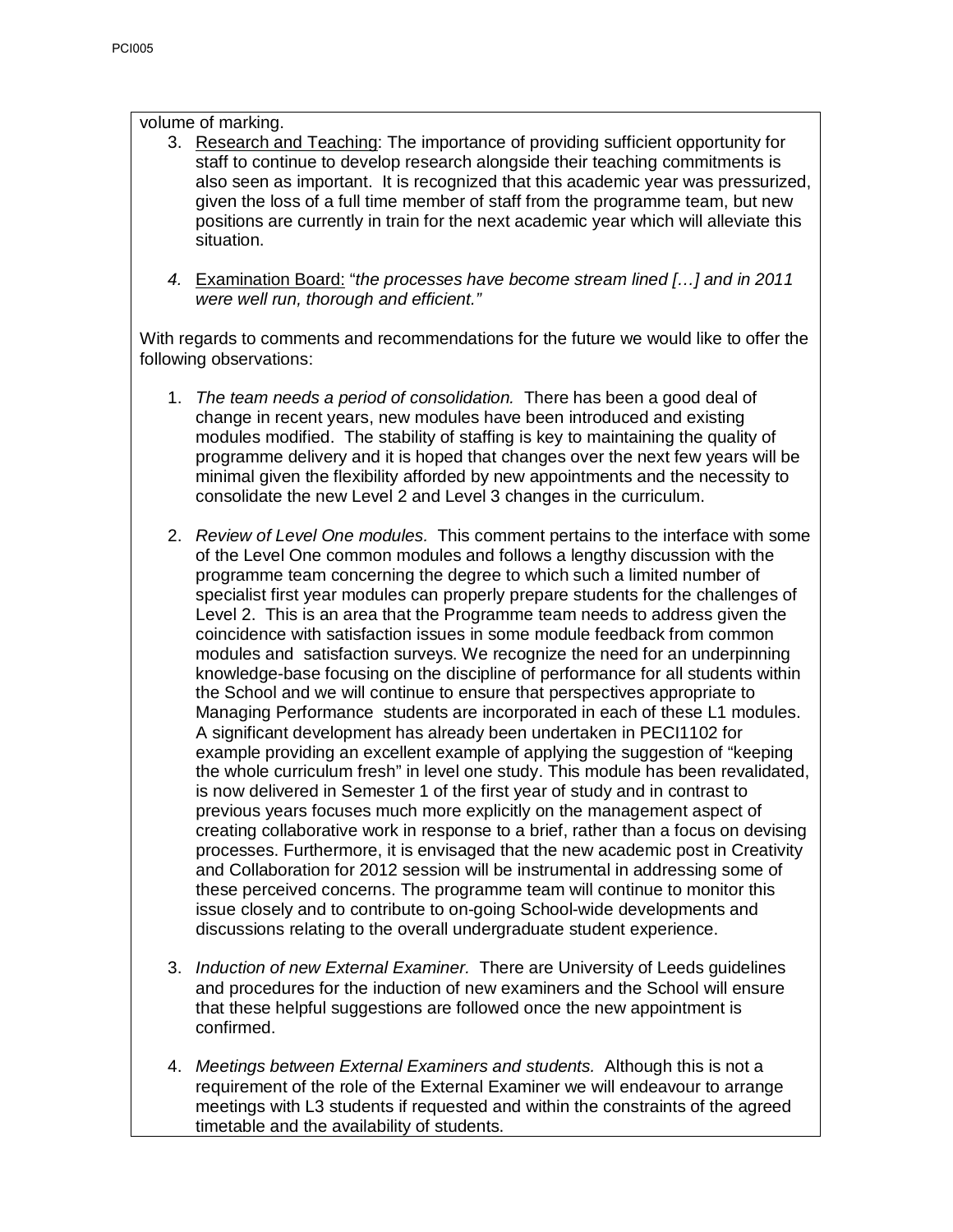volume of marking.

- 3. Research and Teaching: The importance of providing sufficient opportunity for staff to continue to develop research alongside their teaching commitments is also seen as important. It is recognized that this academic year was pressurized, given the loss of a full time member of staff from the programme team, but new positions are currently in train for the next academic year which will alleviate this situation.
- *4.* Examination Board: "*the processes have become stream lined […] and in 2011 were well run, thorough and efficient."*

With regards to comments and recommendations for the future we would like to offer the following observations:

- 1. *The team needs a period of consolidation.* There has been a good deal of change in recent years, new modules have been introduced and existing modules modified. The stability of staffing is key to maintaining the quality of programme delivery and it is hoped that changes over the next few years will be minimal given the flexibility afforded by new appointments and the necessity to consolidate the new Level 2 and Level 3 changes in the curriculum.
- 2. *Review of Level One modules.* This comment pertains to the interface with some of the Level One common modules and follows a lengthy discussion with the programme team concerning the degree to which such a limited number of specialist first year modules can properly prepare students for the challenges of Level 2. This is an area that the Programme team needs to address given the coincidence with satisfaction issues in some module feedback from common modules and satisfaction surveys. We recognize the need for an underpinning knowledge-base focusing on the discipline of performance for all students within the School and we will continue to ensure that perspectives appropriate to Managing Performance students are incorporated in each of these L1 modules. A significant development has already been undertaken in PECI1102 for example providing an excellent example of applying the suggestion of "keeping the whole curriculum fresh" in level one study. This module has been revalidated, is now delivered in Semester 1 of the first year of study and in contrast to previous years focuses much more explicitly on the management aspect of creating collaborative work in response to a brief, rather than a focus on devising processes. Furthermore, it is envisaged that the new academic post in Creativity and Collaboration for 2012 session will be instrumental in addressing some of these perceived concerns. The programme team will continue to monitor this issue closely and to contribute to on-going School-wide developments and discussions relating to the overall undergraduate student experience.
- 3. *Induction of new External Examiner.* There are University of Leeds guidelines and procedures for the induction of new examiners and the School will ensure that these helpful suggestions are followed once the new appointment is confirmed.
- 4. *Meetings between External Examiners and students.* Although this is not a requirement of the role of the External Examiner we will endeavour to arrange meetings with L3 students if requested and within the constraints of the agreed timetable and the availability of students.